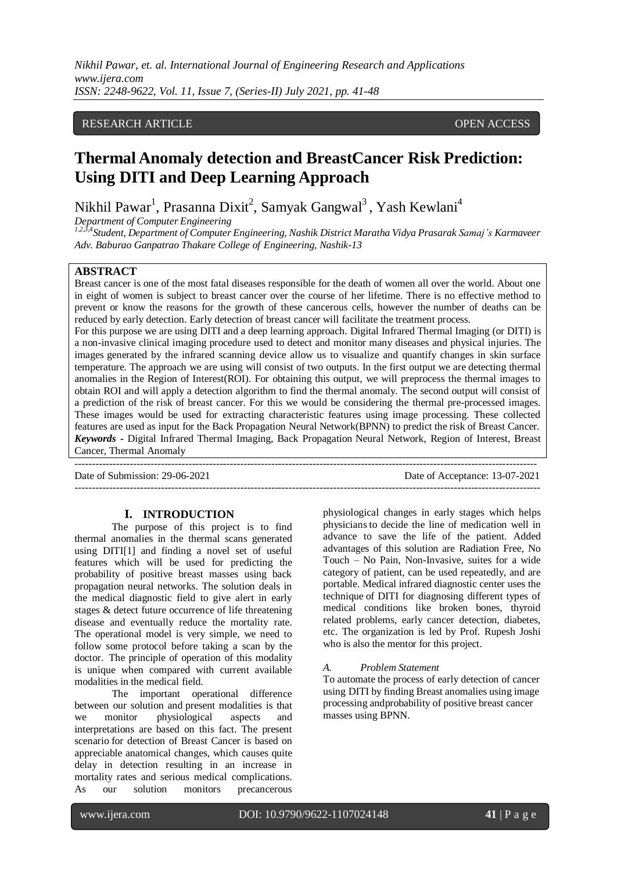## RESEARCH ARTICLE **CONSERVERS** OPEN ACCESS

# **Thermal Anomaly detection and BreastCancer Risk Prediction: Using DITI and Deep Learning Approach**

Nikhil Pawar<sup>1</sup>, Prasanna Dixit<sup>2</sup>, Samyak Gangwal<sup>3</sup>, Yash Kewlani<sup>4</sup>

*Department of Computer Engineering*

*1,2,3,4Student, Department of Computer Engineering, Nashik District Maratha Vidya Prasarak Samaj's Karmaveer Adv. Baburao Ganpatrao Thakare College of Engineering, Nashik-13*

# **ABSTRACT**

Breast cancer is one of the most fatal diseases responsible for the death of women all over the world. About one in eight of women is subject to breast cancer over the course of her lifetime. There is no effective method to prevent or know the reasons for the growth of these cancerous cells, however the number of deaths can be reduced by early detection. Early detection of breast cancer will facilitate the treatment process.

For this purpose we are using DITI and a deep learning approach. Digital Infrared Thermal Imaging (or DITI) is a non-invasive clinical imaging procedure used to detect and monitor many diseases and physical injuries. The images generated by the infrared scanning device allow us to visualize and quantify changes in skin surface temperature. The approach we are using will consist of two outputs. In the first output we are detecting thermal anomalies in the Region of Interest(ROI). For obtaining this output, we will preprocess the thermal images to obtain ROI and will apply a detection algorithm to find the thermal anomaly. The second output will consist of a prediction of the risk of breast cancer. For this we would be considering the thermal pre-processed images. These images would be used for extracting characteristic features using image processing. These collected features are used as input for the Back Propagation Neural Network(BPNN) to predict the risk of Breast Cancer. *Keywords* **-** Digital Infrared Thermal Imaging, Back Propagation Neural Network, Region of Interest, Breast Cancer, Thermal Anomaly

--------------------------------------------------------------------------------------------------------------------------------------

---------------------------------------------------------------------------------------------------------------------------------------

Date of Submission: 29-06-2021 Date of Acceptance: 13-07-2021

#### **I. INTRODUCTION**

The purpose of this project is to find thermal anomalies in the thermal scans generated using DITI[1] and finding a novel set of useful features which will be used for predicting the probability of positive breast masses using back propagation neural networks. The solution deals in the medical diagnostic field to give alert in early stages & detect future occurrence of life threatening disease and eventually reduce the mortality rate. The operational model is very simple, we need to follow some protocol before taking a scan by the doctor. The principle of operation of this modality is unique when compared with current available modalities in the medical field.

The important operational difference between our solution and present modalities is that we monitor physiological aspects and interpretations are based on this fact. The present scenario for detection of Breast Cancer is based on appreciable anatomical changes, which causes quite delay in detection resulting in an increase in mortality rates and serious medical complications.<br>As our solution monitors precancerous As our solution monitors precancerous

physiological changes in early stages which helps physiciansto decide the line of medication well in advance to save the life of the patient. Added advantages of this solution are Radiation Free, No Touch – No Pain, Non-Invasive, suites for a wide category of patient, can be used repeatedly, and are portable. Medical infrared diagnostic center uses the technique of DITI for diagnosing different types of medical conditions like broken bones, thyroid related problems, early cancer detection, diabetes, etc. The organization is led by Prof. Rupesh Joshi who is also the mentor for this project.

#### *A. Problem Statement*

To automate the process of early detection of cancer using DITI by finding Breast anomalies using image processing andprobability of positive breast cancer masses using BPNN.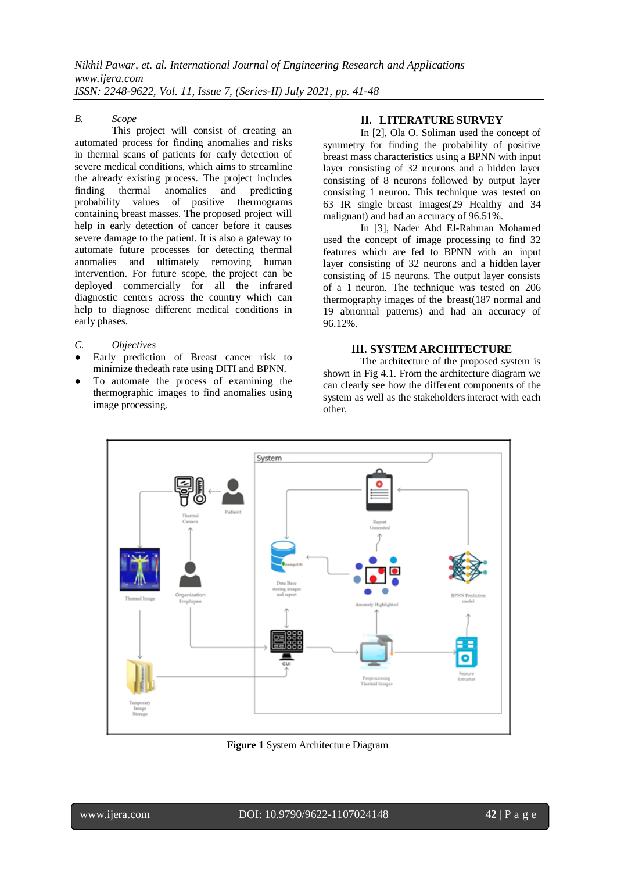### *B. Scope*

This project will consist of creating an automated process for finding anomalies and risks in thermal scans of patients for early detection of severe medical conditions, which aims to streamline the already existing process. The project includes finding thermal anomalies and predicting probability values of positive thermograms containing breast masses. The proposed project will help in early detection of cancer before it causes severe damage to the patient. It is also a gateway to automate future processes for detecting thermal anomalies and ultimately removing human intervention. For future scope, the project can be deployed commercially for all the infrared diagnostic centers across the country which can help to diagnose different medical conditions in early phases.

- *C. Objectives*
- Early prediction of Breast cancer risk to minimize thedeath rate using DITI and BPNN.
- To automate the process of examining the thermographic images to find anomalies using image processing.

# **II. LITERATURE SURVEY**

In [2], Ola O. Soliman used the concept of symmetry for finding the probability of positive breast mass characteristics using a BPNN with input layer consisting of 32 neurons and a hidden layer consisting of 8 neurons followed by output layer consisting 1 neuron. This technique was tested on 63 IR single breast images(29 Healthy and 34 malignant) and had an accuracy of 96.51%.

In [3], Nader Abd El-Rahman Mohamed used the concept of image processing to find 32 features which are fed to BPNN with an input layer consisting of 32 neurons and a hidden layer consisting of 15 neurons. The output layer consists of a 1 neuron. The technique was tested on 206 thermography images of the breast(187 normal and 19 abnormal patterns) and had an accuracy of 96.12%.

## **III. SYSTEM ARCHITECTURE**

The architecture of the proposed system is shown in Fig 4.1. From the architecture diagram we can clearly see how the different components of the system as well as the stakeholdersinteract with each other.



**Figure 1** System Architecture Diagram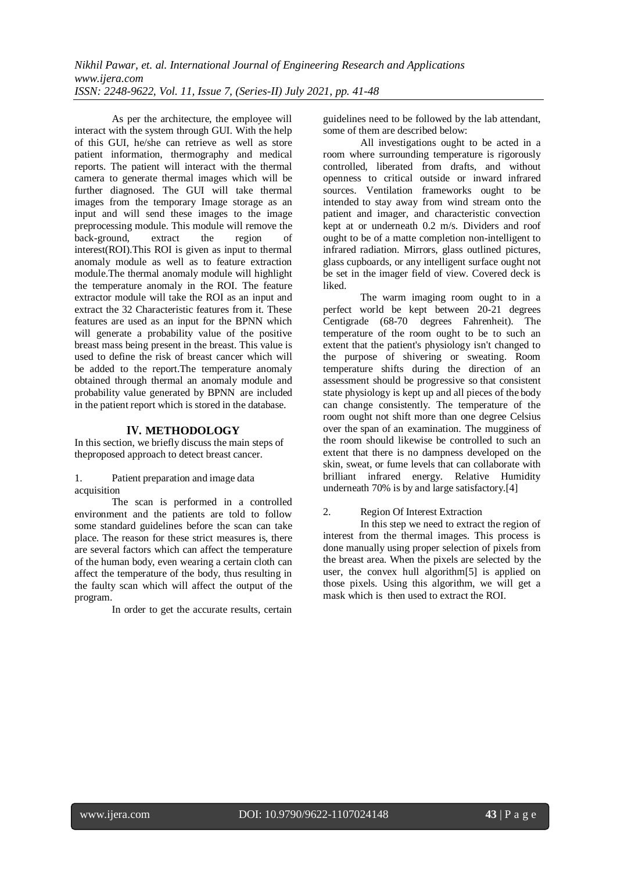As per the architecture, the employee will interact with the system through GUI. With the help of this GUI, he/she can retrieve as well as store patient information, thermography and medical reports. The patient will interact with the thermal camera to generate thermal images which will be further diagnosed. The GUI will take thermal images from the temporary Image storage as an input and will send these images to the image preprocessing module. This module will remove the back-ground, extract the region of interest(ROI).This ROI is given as input to thermal anomaly module as well as to feature extraction module.The thermal anomaly module will highlight the temperature anomaly in the ROI. The feature extractor module will take the ROI as an input and extract the 32 Characteristic features from it. These features are used as an input for the BPNN which will generate a probability value of the positive breast mass being present in the breast. This value is used to define the risk of breast cancer which will be added to the report.The temperature anomaly obtained through thermal an anomaly module and probability value generated by BPNN are included in the patient report which is stored in the database.

# **IV. METHODOLOGY**

In this section, we briefly discuss the main steps of theproposed approach to detect breast cancer.

1. Patient preparation and image data acquisition

The scan is performed in a controlled environment and the patients are told to follow some standard guidelines before the scan can take place. The reason for these strict measures is, there are several factors which can affect the temperature of the human body, even wearing a certain cloth can affect the temperature of the body, thus resulting in the faulty scan which will affect the output of the program.

In order to get the accurate results, certain

guidelines need to be followed by the lab attendant, some of them are described below:

All investigations ought to be acted in a room where surrounding temperature is rigorously controlled, liberated from drafts, and without openness to critical outside or inward infrared sources. Ventilation frameworks ought to be intended to stay away from wind stream onto the patient and imager, and characteristic convection kept at or underneath 0.2 m/s. Dividers and roof ought to be of a matte completion non-intelligent to infrared radiation. Mirrors, glass outlined pictures, glass cupboards, or any intelligent surface ought not be set in the imager field of view. Covered deck is liked.

The warm imaging room ought to in a perfect world be kept between 20-21 degrees Centigrade (68-70 degrees Fahrenheit). The temperature of the room ought to be to such an extent that the patient's physiology isn't changed to the purpose of shivering or sweating. Room temperature shifts during the direction of an assessment should be progressive so that consistent state physiology is kept up and all pieces of the body can change consistently. The temperature of the room ought not shift more than one degree Celsius over the span of an examination. The mugginess of the room should likewise be controlled to such an extent that there is no dampness developed on the skin, sweat, or fume levels that can collaborate with brilliant infrared energy. Relative Humidity underneath 70% is by and large satisfactory.[4]

### 2. Region Of Interest Extraction

In this step we need to extract the region of interest from the thermal images. This process is done manually using proper selection of pixels from the breast area. When the pixels are selected by the user, the convex hull algorithm[5] is applied on those pixels. Using this algorithm, we will get a mask which is then used to extract the ROI.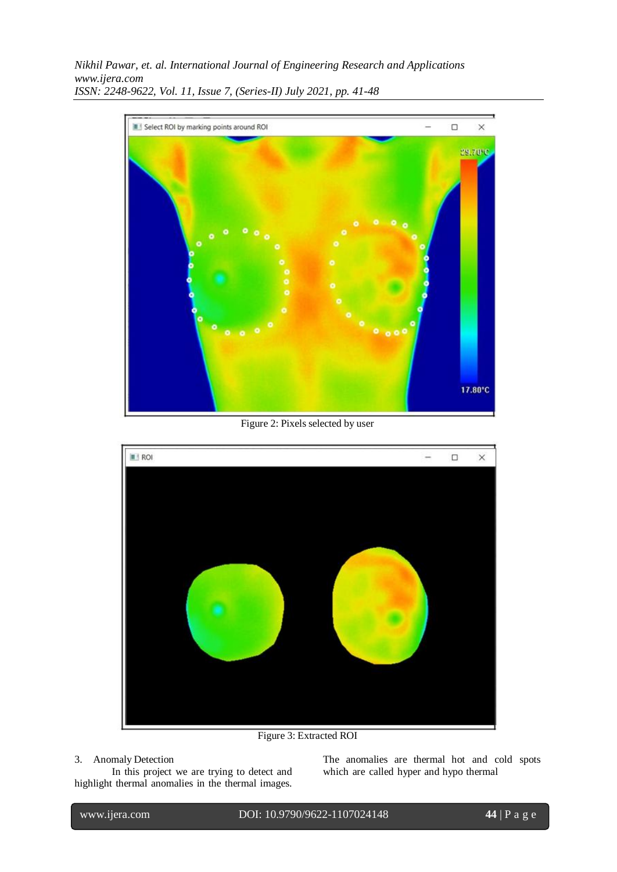

Figure 2: Pixels selected by user



Figure 3: Extracted ROI

## 3. Anomaly Detection

In this project we are trying to detect and highlight thermal anomalies in the thermal images. The anomalies are thermal hot and cold spots which are called hyper and hypo thermal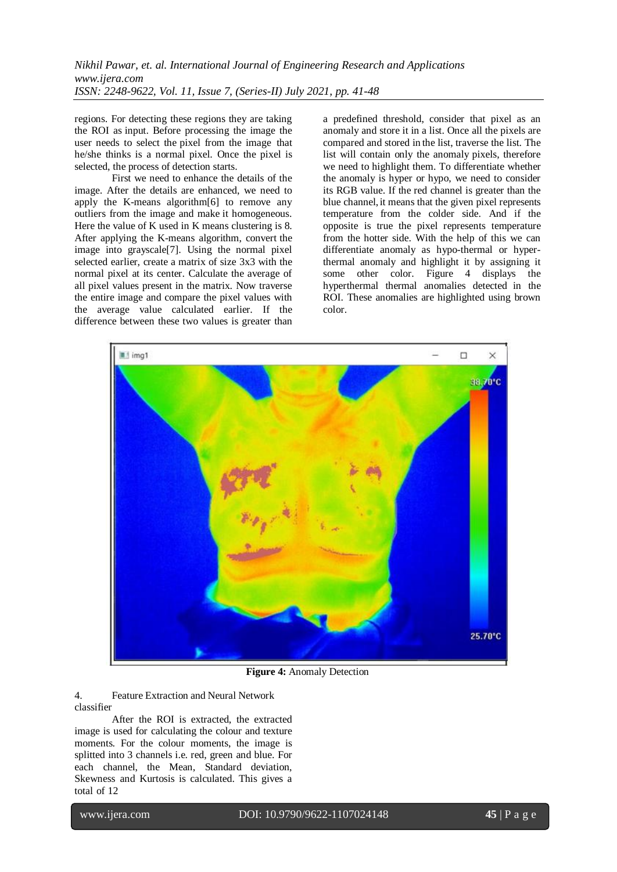regions. For detecting these regions they are taking the ROI as input. Before processing the image the user needs to select the pixel from the image that he/she thinks is a normal pixel. Once the pixel is selected, the process of detection starts.

First we need to enhance the details of the image. After the details are enhanced, we need to apply the K-means algorithm[6] to remove any outliers from the image and make it homogeneous. Here the value of K used in K means clustering is 8. After applying the K-means algorithm, convert the image into grayscale[7]. Using the normal pixel selected earlier, create a matrix of size 3x3 with the normal pixel at its center. Calculate the average of all pixel values present in the matrix. Now traverse the entire image and compare the pixel values with the average value calculated earlier. If the difference between these two values is greater than

a predefined threshold, consider that pixel as an anomaly and store it in a list. Once all the pixels are compared and stored in the list, traverse the list. The list will contain only the anomaly pixels, therefore we need to highlight them. To differentiate whether the anomaly is hyper or hypo, we need to consider its RGB value. If the red channel is greater than the blue channel,it means that the given pixel represents temperature from the colder side. And if the opposite is true the pixel represents temperature from the hotter side. With the help of this we can differentiate anomaly as hypo-thermal or hyperthermal anomaly and highlight it by assigning it some other color. Figure 4 displays the hyperthermal thermal anomalies detected in the ROI. These anomalies are highlighted using brown color.



**Figure 4:** Anomaly Detection

4. Feature Extraction and Neural Network classifier

After the ROI is extracted, the extracted image is used for calculating the colour and texture moments. For the colour moments, the image is splitted into 3 channels i.e. red, green and blue. For each channel, the Mean, Standard deviation, Skewness and Kurtosis is calculated. This gives a total of 12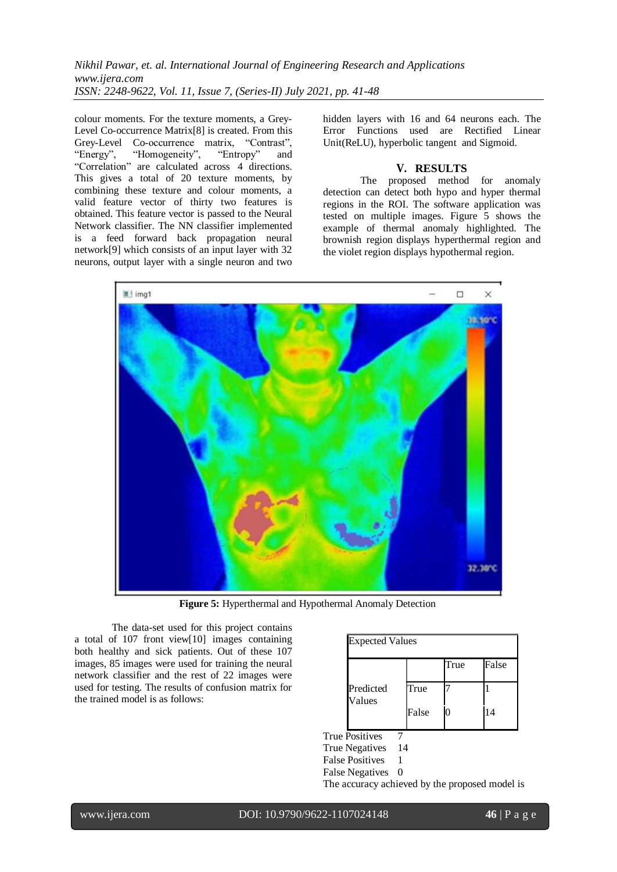colour moments. For the texture moments, a Grey-Level Co-occurrence Matrix[8] is created. From this Grey-Level Co-occurrence matrix, "Contrast",<br>"Energy". "Homogeneity". "Entropy" and "Homogeneity", "Entropy" and "Correlation" are calculated across 4 directions. This gives a total of 20 texture moments, by combining these texture and colour moments, a valid feature vector of thirty two features is obtained. This feature vector is passed to the Neural Network classifier. The NN classifier implemented is a feed forward back propagation neural network[9] which consists of an input layer with 32 neurons, output layer with a single neuron and two

hidden layers with 16 and 64 neurons each. The Error Functions used are Rectified Linear Unit(ReLU), hyperbolic tangent and Sigmoid.

#### **V. RESULTS**

The proposed method for anomaly detection can detect both hypo and hyper thermal regions in the ROI. The software application was tested on multiple images. Figure 5 shows the example of thermal anomaly highlighted. The brownish region displays hyperthermal region and the violet region displays hypothermal region.



**Figure 5:** Hyperthermal and Hypothermal Anomaly Detection

The data-set used for this project contains a total of 107 front view[10] images containing both healthy and sick patients. Out of these 107 images, 85 images were used for training the neural network classifier and the rest of 22 images were used for testing. The results of confusion matrix for the trained model is as follows:

| <b>Expected Values</b> |      |       |
|------------------------|------|-------|
|                        | True | False |
| True                   |      |       |
| False                  | 0    | 14    |
|                        |      |       |

True Positives

True Negatives 14

False Positives 1

The accuracy achieved by the proposed model is

False Negatives 0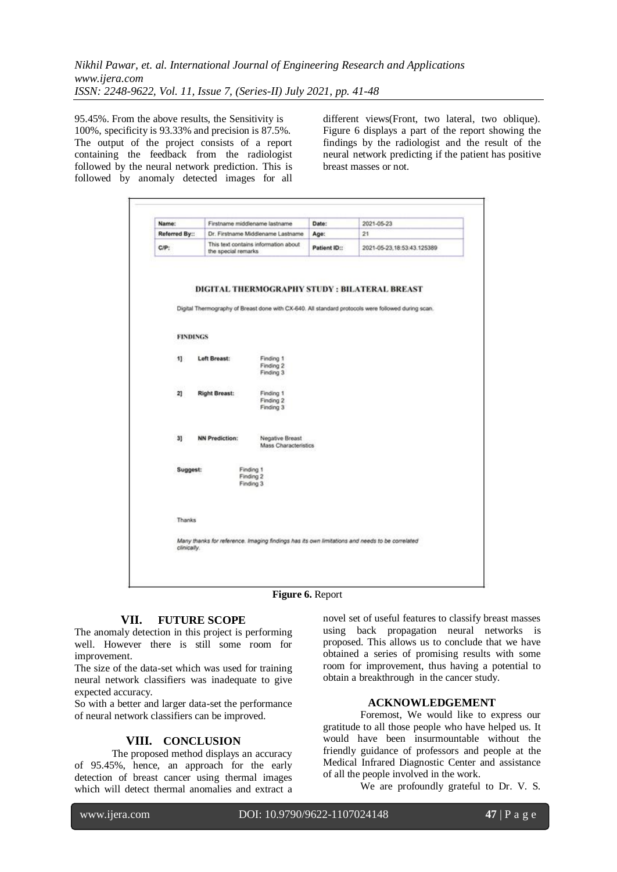95.45%. From the above results, the Sensitivity is 100%, specificity is 93.33% and precision is 87.5%. The output of the project consists of a report containing the feedback from the radiologist followed by the neural network prediction. This is followed by anomaly detected images for all different views(Front, two lateral, two oblique). Figure 6 displays a part of the report showing the findings by the radiologist and the result of the neural network predicting if the patient has positive breast masses or not.

| Name:                             | Firstname middlename lastname                                 |                                                                                                                       | Date:        | 2021-05-23                                                                                                                                          |
|-----------------------------------|---------------------------------------------------------------|-----------------------------------------------------------------------------------------------------------------------|--------------|-----------------------------------------------------------------------------------------------------------------------------------------------------|
| Referred By::                     | Dr. Firstname Middlename Lastname                             |                                                                                                                       | Age:         | 21                                                                                                                                                  |
| $C/P$ :                           | This text contains information about<br>the special remarks   |                                                                                                                       | Patient ID:: | 2021-05-23, 18:53:43.125389                                                                                                                         |
| <b>FINDINGS</b><br>11<br>21<br>31 | Left Breast:<br><b>Right Breast:</b><br><b>NN Prediction:</b> | Finding 1<br>Finding 2<br>Finding 3<br>Finding 1<br>Finding 2<br>Finding 3<br>Negative Breast<br>Mass Characteristics |              | DIGITAL THERMOGRAPHY STUDY : BILATERAL BREAST<br>Digital Thermography of Breast done with CX-640. All standard protocols were followed during scan. |
| Suggest:                          | Finding 1<br>Finding 2<br>Finding 3                           |                                                                                                                       |              |                                                                                                                                                     |
| Thanks<br>clinically.             |                                                               |                                                                                                                       |              | Many thanks for reference. Imaging findings has its own limitations and needs to be correlated                                                      |

**Figure 6.** Report

## **VII. FUTURE SCOPE**

The anomaly detection in this project is performing well. However there is still some room for improvement.

The size of the data-set which was used for training neural network classifiers was inadequate to give expected accuracy.

So with a better and larger data-set the performance of neural network classifiers can be improved.

# **VIII. CONCLUSION**

The proposed method displays an accuracy of 95.45%, hence, an approach for the early detection of breast cancer using thermal images which will detect thermal anomalies and extract a novel set of useful features to classify breast masses using back propagation neural networks is proposed. This allows us to conclude that we have obtained a series of promising results with some room for improvement, thus having a potential to obtain a breakthrough in the cancer study.

#### **ACKNOWLEDGEMENT**

Foremost, We would like to express our gratitude to all those people who have helped us. It would have been insurmountable without the friendly guidance of professors and people at the Medical Infrared Diagnostic Center and assistance of all the people involved in the work.

We are profoundly grateful to Dr. V. S.

l

www.ijera.com DOI: 10.9790/9622-1107024148 **47** | P a g e